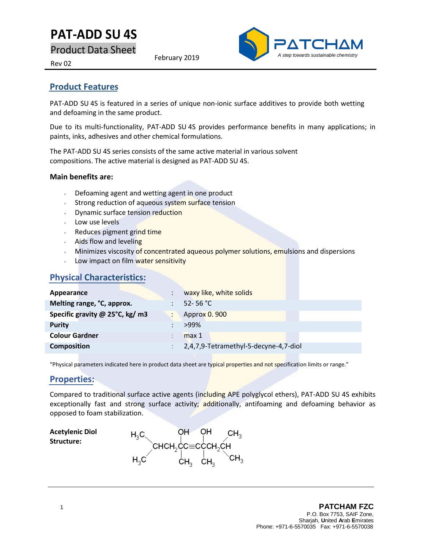# **PAT-ADD SU 4S**

Product Data Sheet

February 2019



Rev 02

## **Product Features**

PAT-ADD SU 4S is featured in a series of unique non-ionic surface additives to provide both wetting and defoaming in the same product.

Due to its multi-functionality, PAT-ADD SU 4S provides performance benefits in many applications; in paints, inks, adhesives and other chemical formulations.

The PAT-ADD SU 4S series consists of the same active material in various solvent compositions. The active material is designed as PAT-ADD SU 4S.

#### **Main benefits are:**

- Defoaming agent and wetting agent in one product
- Strong reduction of aqueous system surface tension
- **Dynamic surface tension reduction**
- $\cdot$  Low use levels
- Reduces pigment grind time
- $\cdot$  Aids flow and leveling
- Minimizes viscosity of concentrated aqueous polymer solutions, emulsions and dispersions
- Low impact on film water sensitivity

## **Physical Characteristics:**

| Appearance                      | waxy like, white solids               |
|---------------------------------|---------------------------------------|
| Melting range, °C, approx.      | 52-56 °C                              |
| Specific gravity @ 25°C, kg/ m3 | Approx 0.900                          |
| <b>Purity</b>                   | $>99\%$                               |
| <b>Colour Gardner</b>           | max <sub>1</sub>                      |
| <b>Composition</b>              | 2,4,7,9-Tetramethyl-5-decyne-4,7-diol |

"Physical parameters indicated here in product data sheet are typical properties and not specification limits or range."

## **Properties:**

Compared to traditional surface active agents (including APE polyglycol ethers), PAT-ADD SU 4S exhibits exceptionally fast and strong surface activity; additionally, antifoaming and defoaming behavior as opposed to foam stabilization.

**Acetylenic Diol Structure:**

OН OH. CH<sub>2</sub> снсн,сс≡сссн,сн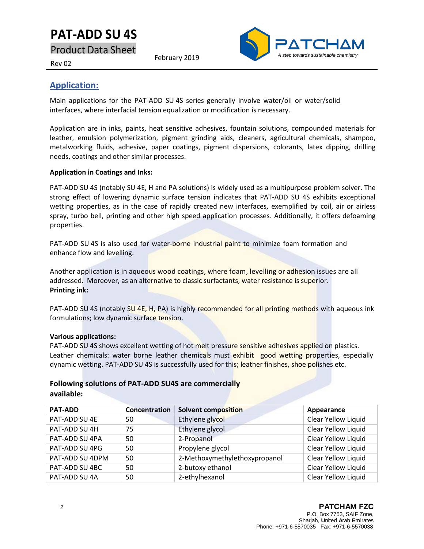# **PAT-ADD SU 4S**

Product Data Sheet

February 2019



#### Rev 02

## **Application:**

Main applications for the PAT-ADD SU 4S series generally involve water/oil or water/solid interfaces, where interfacial tension equalization or modification is necessary.

Application are in inks, paints, heat sensitive adhesives, fountain solutions, compounded materials for leather, emulsion polymerization, pigment grinding aids, cleaners, agricultural chemicals, shampoo, metalworking fluids, adhesive, paper coatings, pigment dispersions, colorants, latex dipping, drilling needs, coatings and other similar processes.

#### **Application in Coatings and Inks:**

PAT-ADD SU 4S (notably SU 4E, H and PA solutions) is widely used as a multipurpose problem solver. The strong effect of lowering dynamic surface tension indicates that PAT-ADD SU 4S exhibits exceptional wetting properties, as in the case of rapidly created new interfaces, exemplified by coil, air or airless spray, turbo bell, printing and other high speed application processes. Additionally, it offers defoaming properties.

PAT-ADD SU 4S is also used for water-borne industrial paint to minimize foam formation and enhance flow and levelling.

Another application is in aqueous wood coatings, where foam, levelling or adhesion issues are all addressed. Moreover, as an alternative to classic surfactants, water resistance is superior. **Printing ink:**

PAT-ADD SU 4S (notably SU 4E, H, PA) is highly recommended for all printing methods with aqueous ink formulations; low dynamic surface tension.

#### **Various applications:**

PAT-ADD SU 4S shows excellent wetting of hot melt pressure sensitive adhesives applied on plastics. Leather chemicals: water borne leather chemicals must exhibit good wetting properties, especially dynamic wetting. PAT-ADD SU 4S is successfully used for this; leather finishes, shoe polishes etc.

#### **Following solutions of PAT-ADD SU4S are commercially available:**

| <b>PAT-ADD</b>  | Concentration | <b>Solvent composition</b>    | Appearance          |
|-----------------|---------------|-------------------------------|---------------------|
| PAT-ADD SU 4E   | 50            | Ethylene glycol               | Clear Yellow Liquid |
| PAT-ADD SU 4H   | 75            | Ethylene glycol               | Clear Yellow Liquid |
| PAT-ADD SU 4PA  | 50            | 2-Propanol                    | Clear Yellow Liquid |
| PAT-ADD SU 4PG  | 50            | Propylene glycol              | Clear Yellow Liquid |
| PAT-ADD SU 4DPM | 50            | 2-Methoxymethylethoxypropanol | Clear Yellow Liquid |
| PAT-ADD SU 4BC  | 50            | 2-butoxy ethanol              | Clear Yellow Liquid |
| PAT-ADD SU 4A   | 50            | 2-ethylhexanol                | Clear Yellow Liquid |